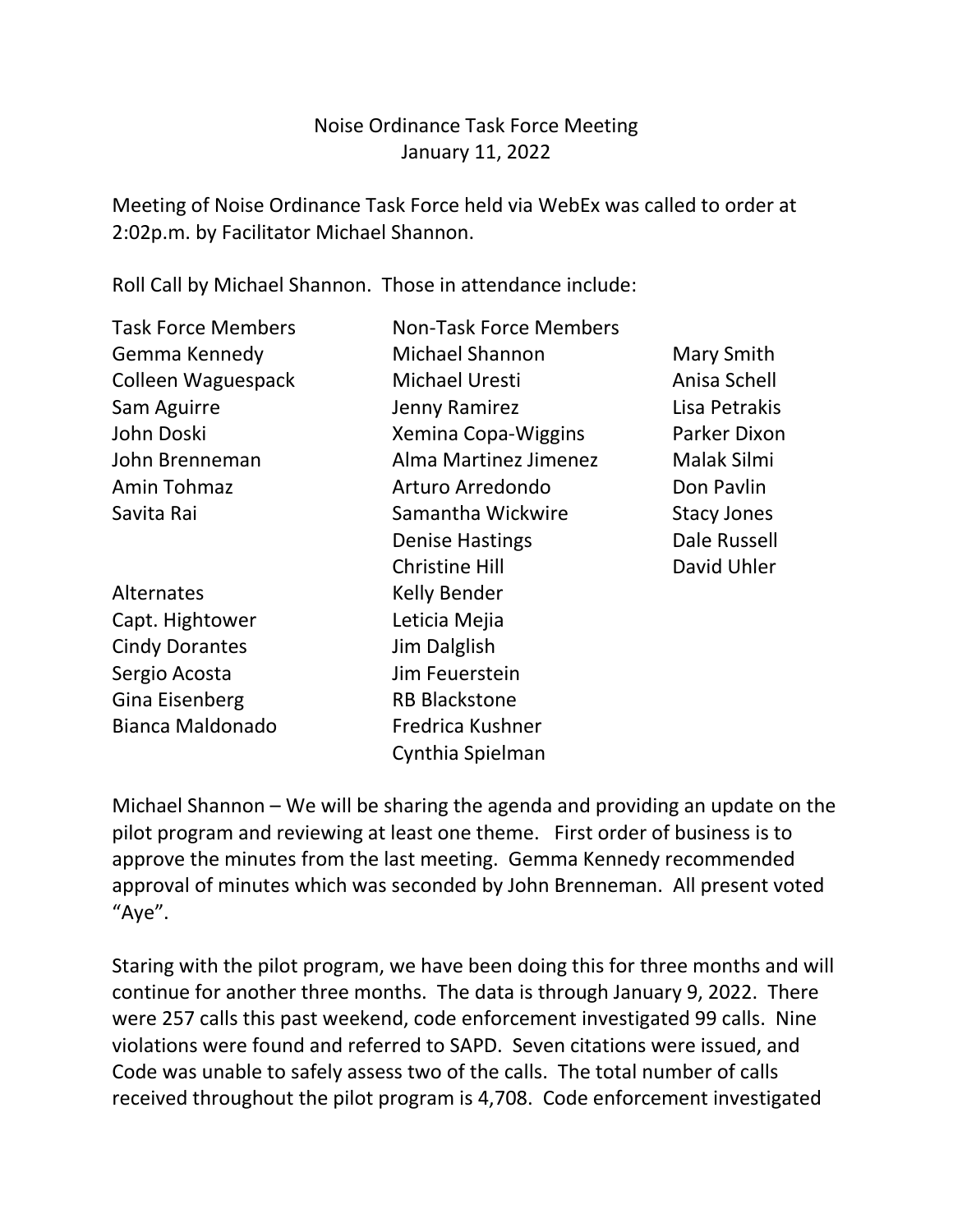## Noise Ordinance Task Force Meeting January 11, 2022

Meeting of Noise Ordinance Task Force held via WebEx was called to order at 2:02p.m. by Facilitator Michael Shannon.

Roll Call by Michael Shannon. Those in attendance include:

| <b>Task Force Members</b> | <b>Non-Task Force Members</b> |                    |  |
|---------------------------|-------------------------------|--------------------|--|
| Gemma Kennedy             | Michael Shannon               | Mary Smith         |  |
| Colleen Waguespack        | <b>Michael Uresti</b>         | Anisa Schell       |  |
| Sam Aguirre               | Jenny Ramirez                 | Lisa Petrakis      |  |
| John Doski                | Xemina Copa-Wiggins           | Parker Dixon       |  |
| John Brenneman            | Alma Martinez Jimenez         | Malak Silmi        |  |
| Amin Tohmaz               | Arturo Arredondo              | Don Pavlin         |  |
| Savita Rai                | Samantha Wickwire             | <b>Stacy Jones</b> |  |
|                           | <b>Denise Hastings</b>        | Dale Russell       |  |
|                           | <b>Christine Hill</b>         | David Uhler        |  |
| Alternates                | Kelly Bender                  |                    |  |
| Capt. Hightower           | Leticia Mejia                 |                    |  |
| <b>Cindy Dorantes</b>     | Jim Dalglish                  |                    |  |
| Sergio Acosta             | Jim Feuerstein                |                    |  |
| Gina Eisenberg            | <b>RB Blackstone</b>          |                    |  |
| Bianca Maldonado          | Fredrica Kushner              |                    |  |
|                           | Cynthia Spielman              |                    |  |

Michael Shannon – We will be sharing the agenda and providing an update on the pilot program and reviewing at least one theme. First order of business is to approve the minutes from the last meeting. Gemma Kennedy recommended approval of minutes which was seconded by John Brenneman. All present voted "Aye".

Staring with the pilot program, we have been doing this for three months and will continue for another three months. The data is through January 9, 2022. There were 257 calls this past weekend, code enforcement investigated 99 calls. Nine violations were found and referred to SAPD. Seven citations were issued, and Code was unable to safely assess two of the calls. The total number of calls received throughout the pilot program is 4,708. Code enforcement investigated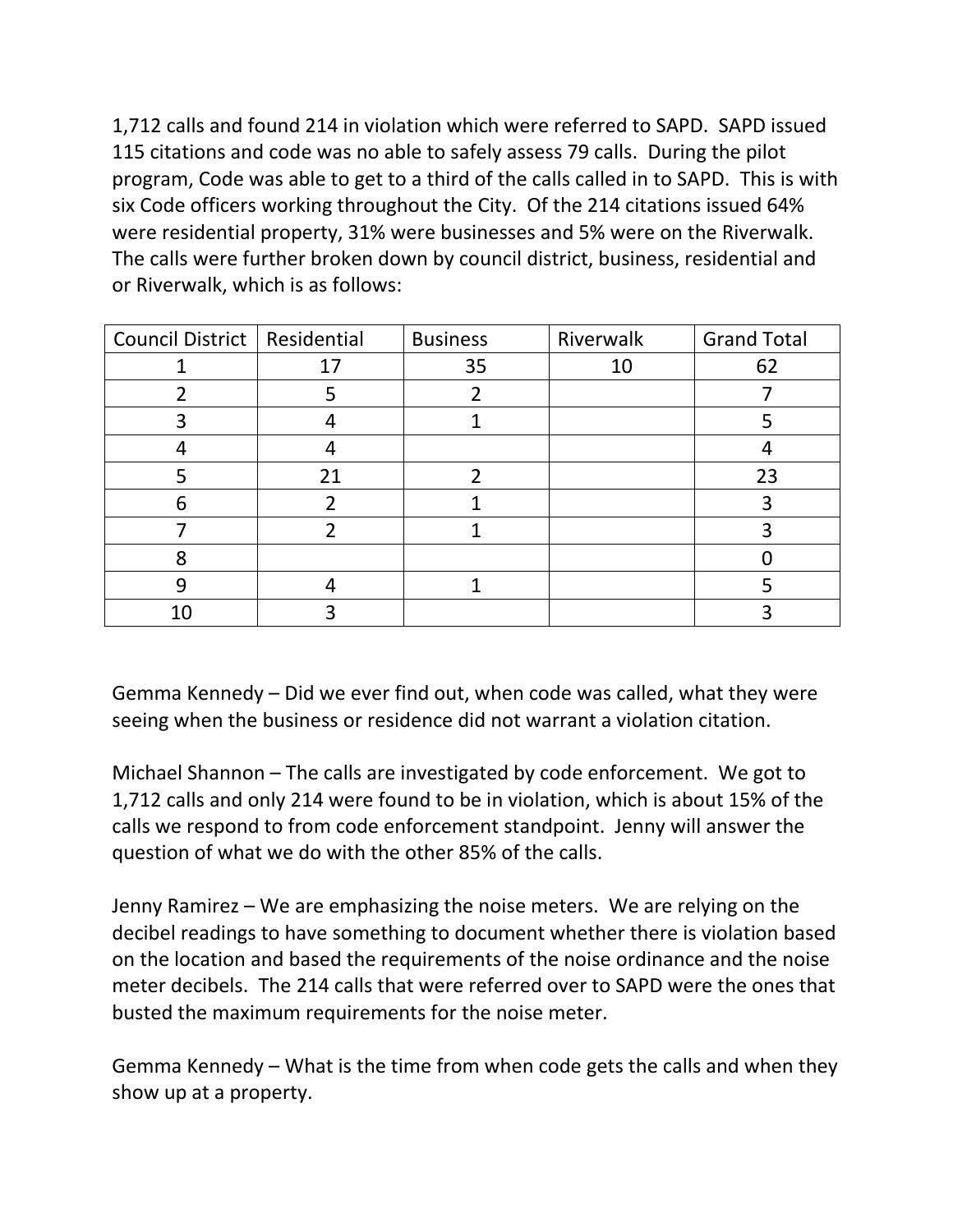1,712 calls and found 214 in violation which were referred to SAPD. SAPD issued 115 citations and code was no able to safely assess 79 calls. During the pilot program, Code was able to get to a third of the calls called in to SAPD. This is with six Code officers working throughout the City. Of the 214 citations issued 64% were residential property, 31% were businesses and 5% were on the Riverwalk. The calls were further broken down by council district, business, residential and or Riverwalk, which is as follows:

| Council District   Residential |    | <b>Business</b> | Riverwalk | <b>Grand Total</b> |
|--------------------------------|----|-----------------|-----------|--------------------|
|                                |    | 35              | 10        | 62                 |
|                                |    |                 |           |                    |
|                                |    |                 |           |                    |
|                                |    |                 |           |                    |
|                                | 21 |                 |           | 23                 |
| հ                              |    |                 |           |                    |
|                                |    |                 |           |                    |
| Я                              |    |                 |           |                    |
| g                              |    |                 |           |                    |
| 10                             |    |                 |           |                    |

Gemma Kennedy – Did we ever find out, when code was called, what they were seeing when the business or residence did not warrant a violation citation.

Michael Shannon – The calls are investigated by code enforcement. We got to 1,712 calls and only 214 were found to be in violation, which is about 15% of the calls we respond to from code enforcement standpoint. Jenny will answer the question of what we do with the other 85% of the calls.

Jenny Ramirez – We are emphasizing the noise meters. We are relying on the decibel readings to have something to document whether there is violation based on the location and based the requirements of the noise ordinance and the noise meter decibels. The 214 calls that were referred over to SAPD were the ones that busted the maximum requirements for the noise meter.

Gemma Kennedy – What is the time from when code gets the calls and when they show up at a property.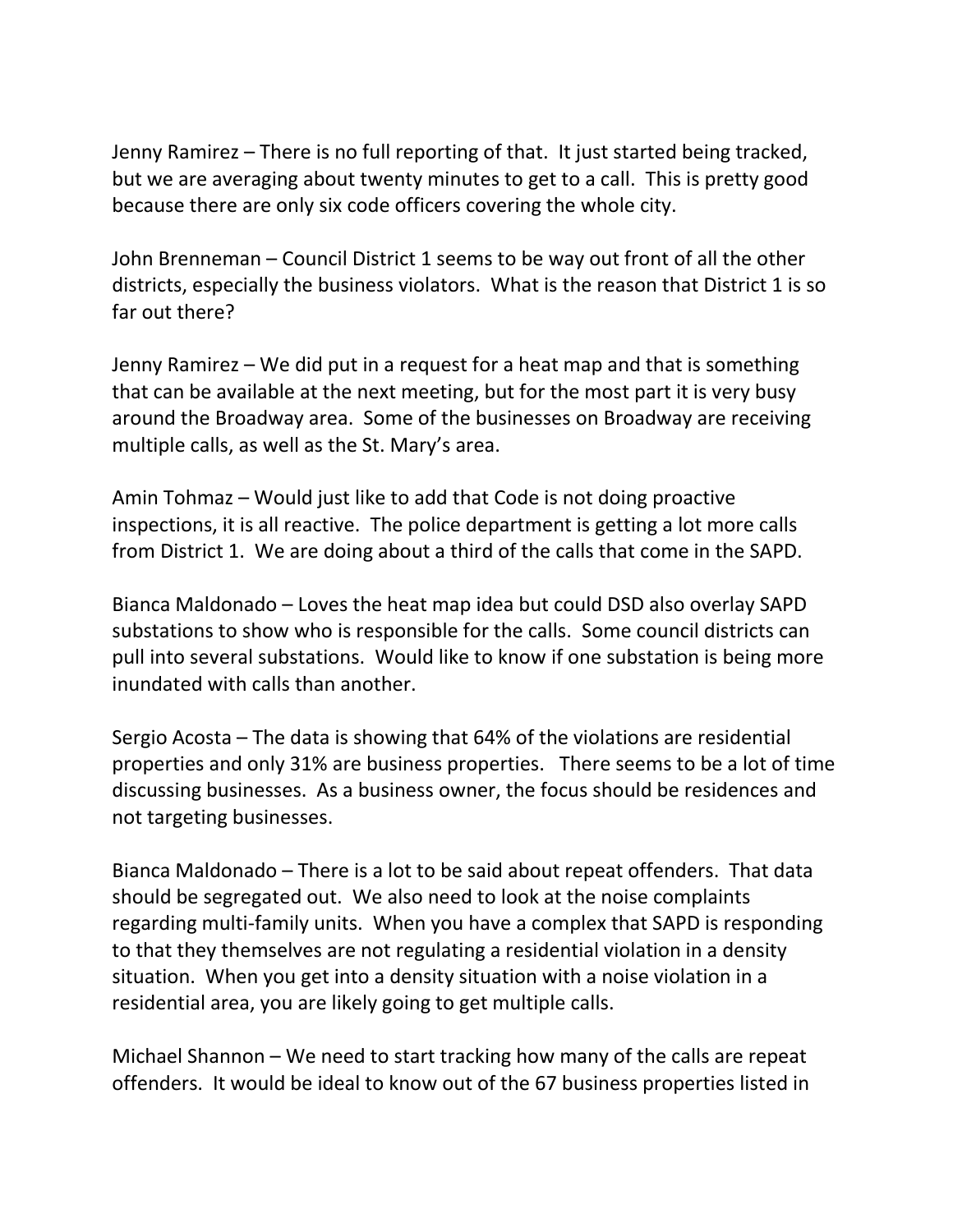Jenny Ramirez – There is no full reporting of that. It just started being tracked, but we are averaging about twenty minutes to get to a call. This is pretty good because there are only six code officers covering the whole city.

John Brenneman – Council District 1 seems to be way out front of all the other districts, especially the business violators. What is the reason that District 1 is so far out there?

Jenny Ramirez – We did put in a request for a heat map and that is something that can be available at the next meeting, but for the most part it is very busy around the Broadway area. Some of the businesses on Broadway are receiving multiple calls, as well as the St. Mary's area.

Amin Tohmaz – Would just like to add that Code is not doing proactive inspections, it is all reactive. The police department is getting a lot more calls from District 1. We are doing about a third of the calls that come in the SAPD.

Bianca Maldonado – Loves the heat map idea but could DSD also overlay SAPD substations to show who is responsible for the calls. Some council districts can pull into several substations. Would like to know if one substation is being more inundated with calls than another.

Sergio Acosta – The data is showing that 64% of the violations are residential properties and only 31% are business properties. There seems to be a lot of time discussing businesses. As a business owner, the focus should be residences and not targeting businesses.

Bianca Maldonado – There is a lot to be said about repeat offenders. That data should be segregated out. We also need to look at the noise complaints regarding multi-family units. When you have a complex that SAPD is responding to that they themselves are not regulating a residential violation in a density situation. When you get into a density situation with a noise violation in a residential area, you are likely going to get multiple calls.

Michael Shannon – We need to start tracking how many of the calls are repeat offenders. It would be ideal to know out of the 67 business properties listed in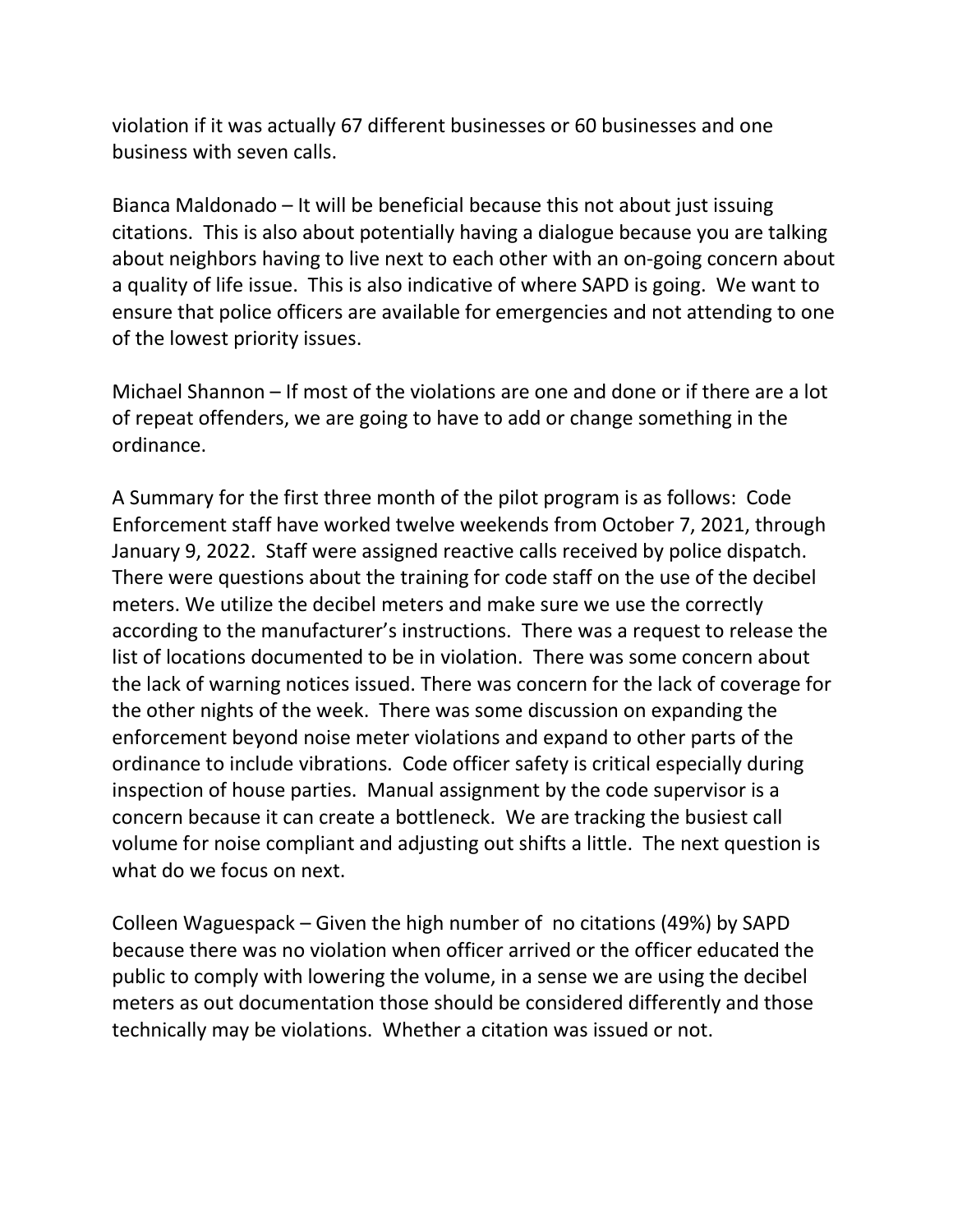violation if it was actually 67 different businesses or 60 businesses and one business with seven calls.

Bianca Maldonado – It will be beneficial because this not about just issuing citations. This is also about potentially having a dialogue because you are talking about neighbors having to live next to each other with an on-going concern about a quality of life issue. This is also indicative of where SAPD is going. We want to ensure that police officers are available for emergencies and not attending to one of the lowest priority issues.

Michael Shannon – If most of the violations are one and done or if there are a lot of repeat offenders, we are going to have to add or change something in the ordinance.

A Summary for the first three month of the pilot program is as follows: Code Enforcement staff have worked twelve weekends from October 7, 2021, through January 9, 2022. Staff were assigned reactive calls received by police dispatch. There were questions about the training for code staff on the use of the decibel meters. We utilize the decibel meters and make sure we use the correctly according to the manufacturer's instructions. There was a request to release the list of locations documented to be in violation. There was some concern about the lack of warning notices issued. There was concern for the lack of coverage for the other nights of the week. There was some discussion on expanding the enforcement beyond noise meter violations and expand to other parts of the ordinance to include vibrations. Code officer safety is critical especially during inspection of house parties. Manual assignment by the code supervisor is a concern because it can create a bottleneck. We are tracking the busiest call volume for noise compliant and adjusting out shifts a little. The next question is what do we focus on next.

Colleen Waguespack – Given the high number of no citations (49%) by SAPD because there was no violation when officer arrived or the officer educated the public to comply with lowering the volume, in a sense we are using the decibel meters as out documentation those should be considered differently and those technically may be violations. Whether a citation was issued or not.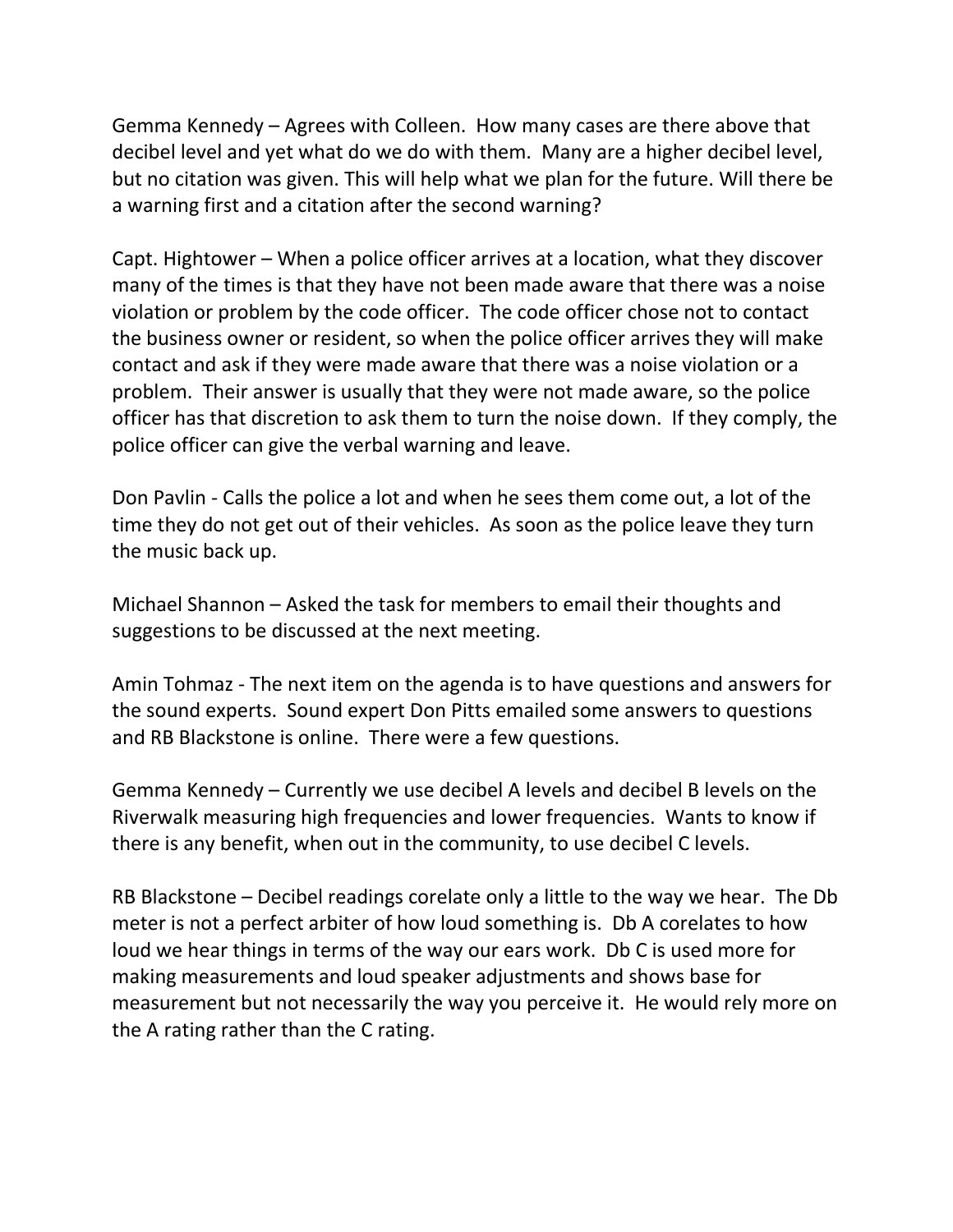Gemma Kennedy – Agrees with Colleen. How many cases are there above that decibel level and yet what do we do with them. Many are a higher decibel level, but no citation was given. This will help what we plan for the future. Will there be a warning first and a citation after the second warning?

Capt. Hightower – When a police officer arrives at a location, what they discover many of the times is that they have not been made aware that there was a noise violation or problem by the code officer. The code officer chose not to contact the business owner or resident, so when the police officer arrives they will make contact and ask if they were made aware that there was a noise violation or a problem. Their answer is usually that they were not made aware, so the police officer has that discretion to ask them to turn the noise down. If they comply, the police officer can give the verbal warning and leave.

Don Pavlin - Calls the police a lot and when he sees them come out, a lot of the time they do not get out of their vehicles. As soon as the police leave they turn the music back up.

Michael Shannon – Asked the task for members to email their thoughts and suggestions to be discussed at the next meeting.

Amin Tohmaz - The next item on the agenda is to have questions and answers for the sound experts. Sound expert Don Pitts emailed some answers to questions and RB Blackstone is online. There were a few questions.

Gemma Kennedy – Currently we use decibel A levels and decibel B levels on the Riverwalk measuring high frequencies and lower frequencies. Wants to know if there is any benefit, when out in the community, to use decibel C levels.

RB Blackstone – Decibel readings corelate only a little to the way we hear. The Db meter is not a perfect arbiter of how loud something is. Db A corelates to how loud we hear things in terms of the way our ears work. Db C is used more for making measurements and loud speaker adjustments and shows base for measurement but not necessarily the way you perceive it. He would rely more on the A rating rather than the C rating.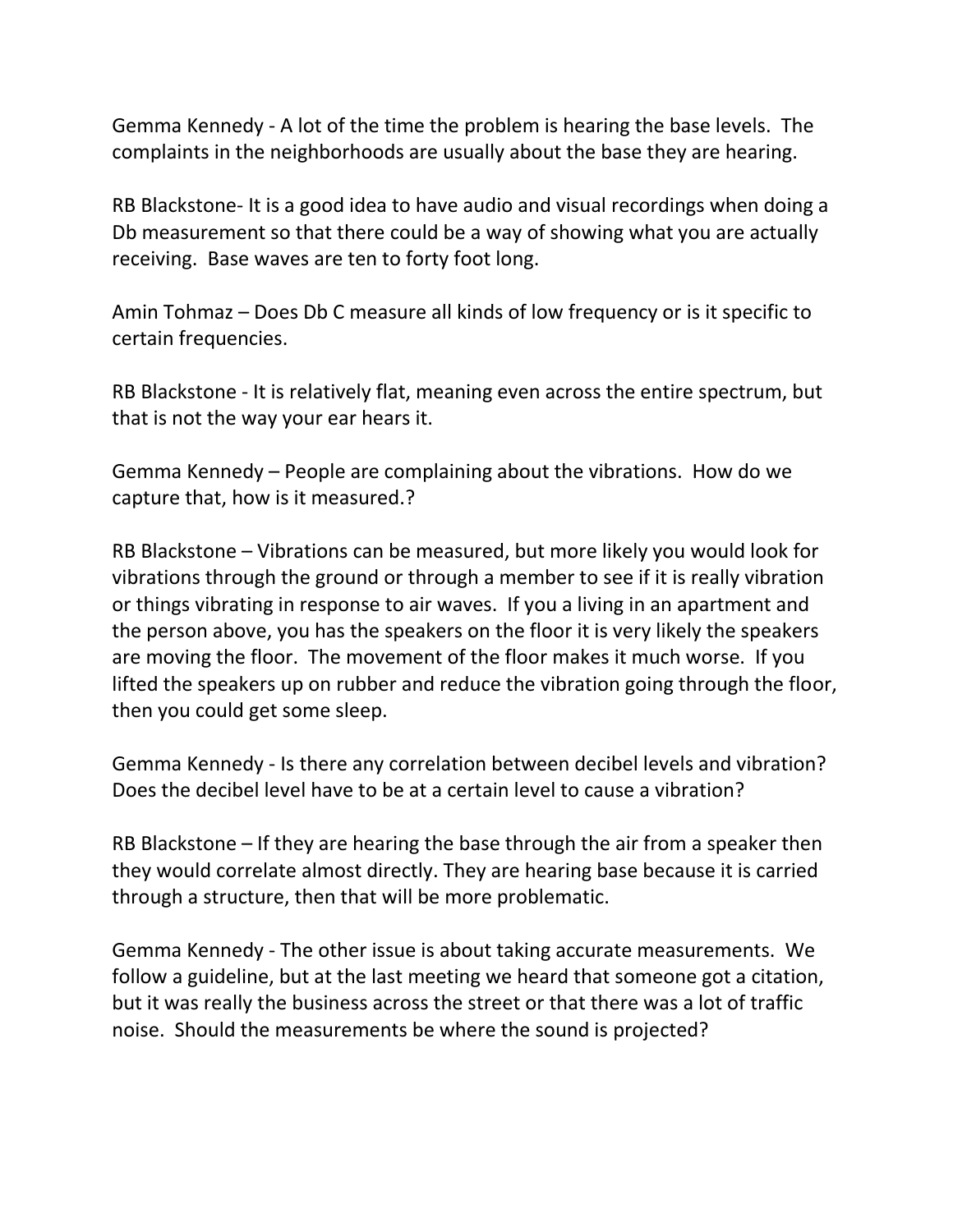Gemma Kennedy - A lot of the time the problem is hearing the base levels. The complaints in the neighborhoods are usually about the base they are hearing.

RB Blackstone- It is a good idea to have audio and visual recordings when doing a Db measurement so that there could be a way of showing what you are actually receiving. Base waves are ten to forty foot long.

Amin Tohmaz – Does Db C measure all kinds of low frequency or is it specific to certain frequencies.

RB Blackstone - It is relatively flat, meaning even across the entire spectrum, but that is not the way your ear hears it.

Gemma Kennedy – People are complaining about the vibrations. How do we capture that, how is it measured.?

RB Blackstone – Vibrations can be measured, but more likely you would look for vibrations through the ground or through a member to see if it is really vibration or things vibrating in response to air waves. If you a living in an apartment and the person above, you has the speakers on the floor it is very likely the speakers are moving the floor. The movement of the floor makes it much worse. If you lifted the speakers up on rubber and reduce the vibration going through the floor, then you could get some sleep.

Gemma Kennedy - Is there any correlation between decibel levels and vibration? Does the decibel level have to be at a certain level to cause a vibration?

RB Blackstone – If they are hearing the base through the air from a speaker then they would correlate almost directly. They are hearing base because it is carried through a structure, then that will be more problematic.

Gemma Kennedy - The other issue is about taking accurate measurements. We follow a guideline, but at the last meeting we heard that someone got a citation, but it was really the business across the street or that there was a lot of traffic noise. Should the measurements be where the sound is projected?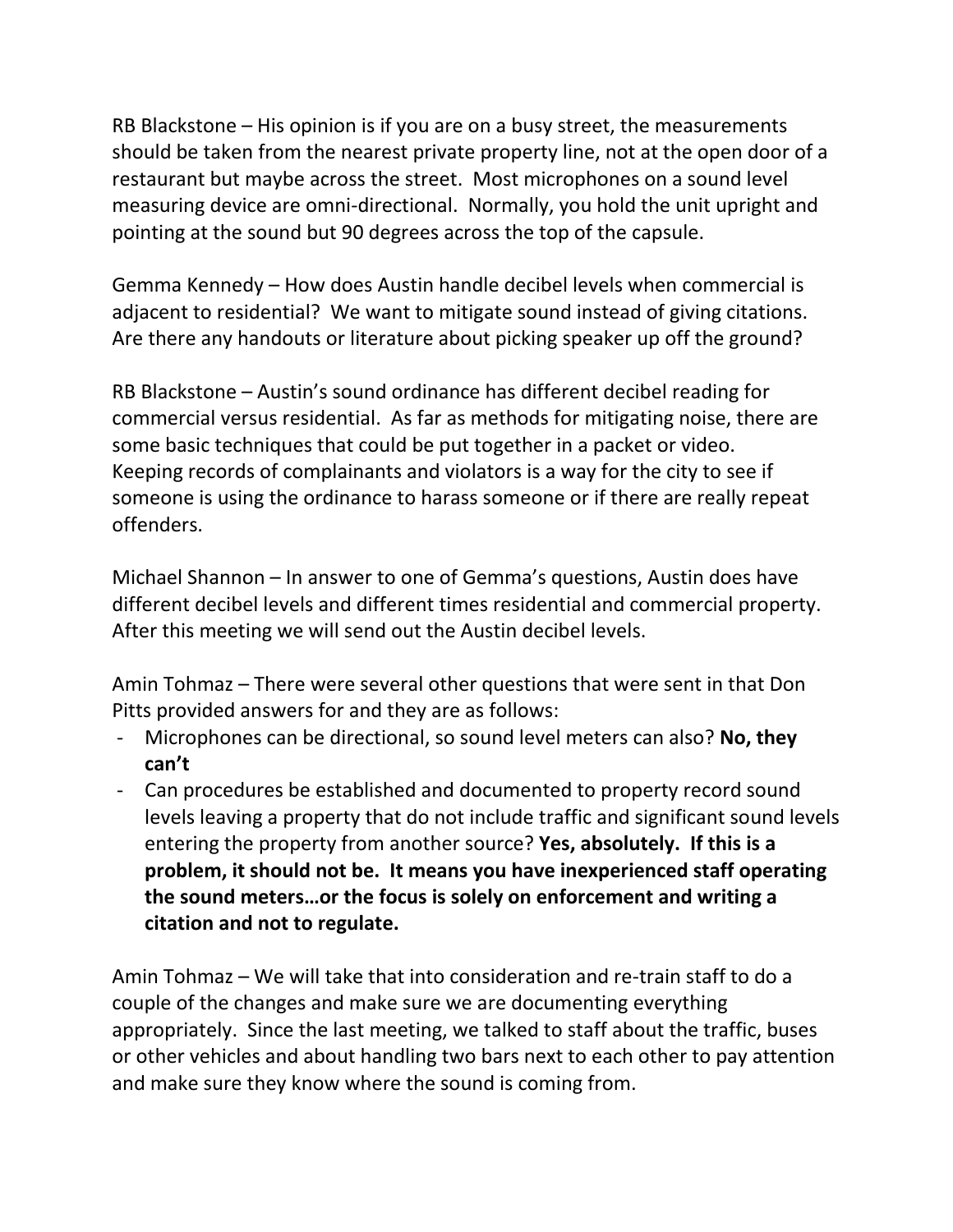RB Blackstone – His opinion is if you are on a busy street, the measurements should be taken from the nearest private property line, not at the open door of a restaurant but maybe across the street. Most microphones on a sound level measuring device are omni-directional. Normally, you hold the unit upright and pointing at the sound but 90 degrees across the top of the capsule.

Gemma Kennedy – How does Austin handle decibel levels when commercial is adjacent to residential? We want to mitigate sound instead of giving citations. Are there any handouts or literature about picking speaker up off the ground?

RB Blackstone – Austin's sound ordinance has different decibel reading for commercial versus residential. As far as methods for mitigating noise, there are some basic techniques that could be put together in a packet or video. Keeping records of complainants and violators is a way for the city to see if someone is using the ordinance to harass someone or if there are really repeat offenders.

Michael Shannon – In answer to one of Gemma's questions, Austin does have different decibel levels and different times residential and commercial property. After this meeting we will send out the Austin decibel levels.

Amin Tohmaz – There were several other questions that were sent in that Don Pitts provided answers for and they are as follows:

- Microphones can be directional, so sound level meters can also? **No, they can't**
- Can procedures be established and documented to property record sound levels leaving a property that do not include traffic and significant sound levels entering the property from another source? **Yes, absolutely. If this is a problem, it should not be. It means you have inexperienced staff operating the sound meters…or the focus is solely on enforcement and writing a citation and not to regulate.**

Amin Tohmaz – We will take that into consideration and re-train staff to do a couple of the changes and make sure we are documenting everything appropriately. Since the last meeting, we talked to staff about the traffic, buses or other vehicles and about handling two bars next to each other to pay attention and make sure they know where the sound is coming from.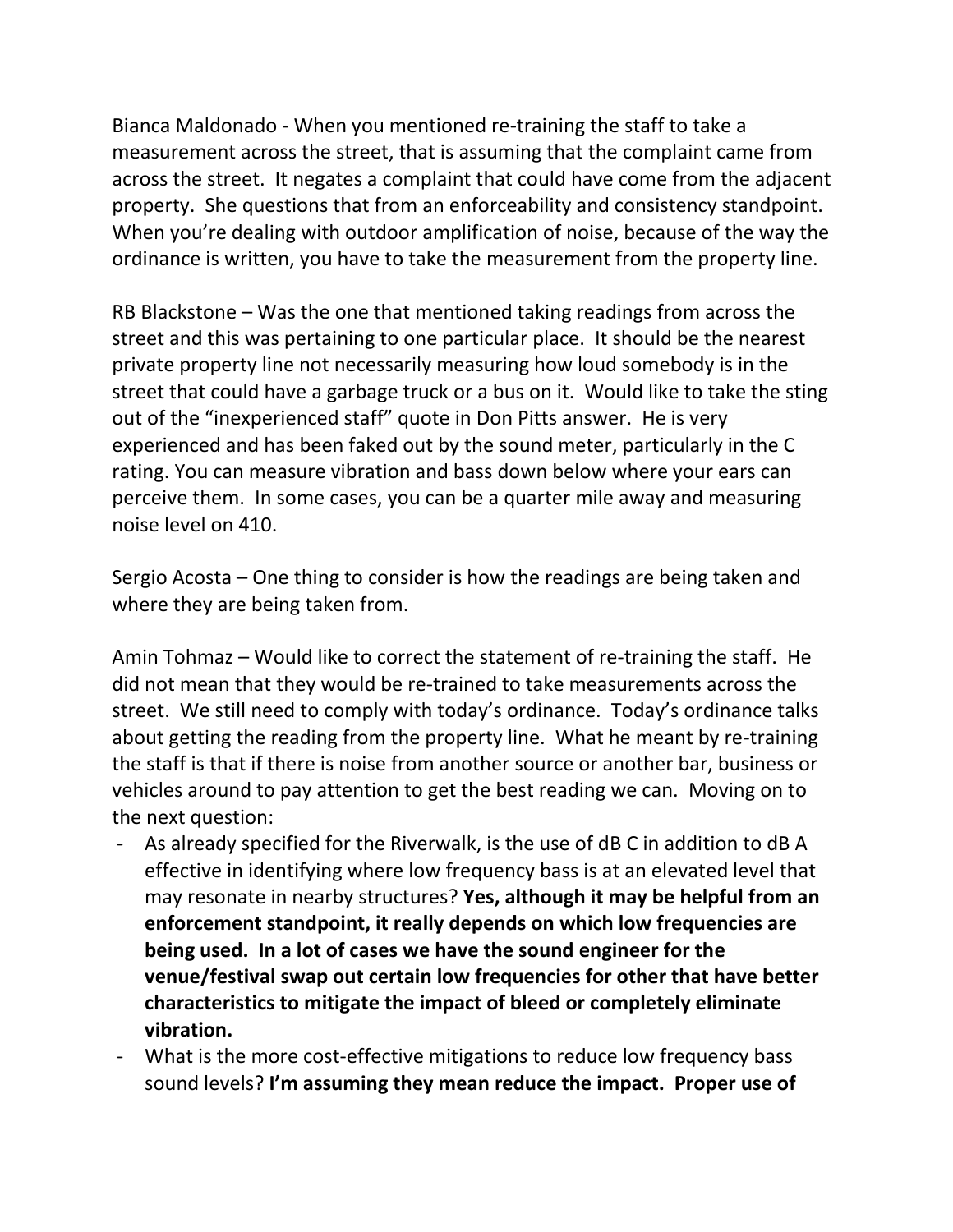Bianca Maldonado - When you mentioned re-training the staff to take a measurement across the street, that is assuming that the complaint came from across the street. It negates a complaint that could have come from the adjacent property. She questions that from an enforceability and consistency standpoint. When you're dealing with outdoor amplification of noise, because of the way the ordinance is written, you have to take the measurement from the property line.

RB Blackstone – Was the one that mentioned taking readings from across the street and this was pertaining to one particular place. It should be the nearest private property line not necessarily measuring how loud somebody is in the street that could have a garbage truck or a bus on it. Would like to take the sting out of the "inexperienced staff" quote in Don Pitts answer. He is very experienced and has been faked out by the sound meter, particularly in the C rating. You can measure vibration and bass down below where your ears can perceive them. In some cases, you can be a quarter mile away and measuring noise level on 410.

Sergio Acosta – One thing to consider is how the readings are being taken and where they are being taken from.

Amin Tohmaz – Would like to correct the statement of re-training the staff. He did not mean that they would be re-trained to take measurements across the street. We still need to comply with today's ordinance. Today's ordinance talks about getting the reading from the property line. What he meant by re-training the staff is that if there is noise from another source or another bar, business or vehicles around to pay attention to get the best reading we can. Moving on to the next question:

- As already specified for the Riverwalk, is the use of dB C in addition to dB A effective in identifying where low frequency bass is at an elevated level that may resonate in nearby structures? **Yes, although it may be helpful from an enforcement standpoint, it really depends on which low frequencies are being used. In a lot of cases we have the sound engineer for the venue/festival swap out certain low frequencies for other that have better characteristics to mitigate the impact of bleed or completely eliminate vibration.**
- What is the more cost-effective mitigations to reduce low frequency bass sound levels? **I'm assuming they mean reduce the impact. Proper use of**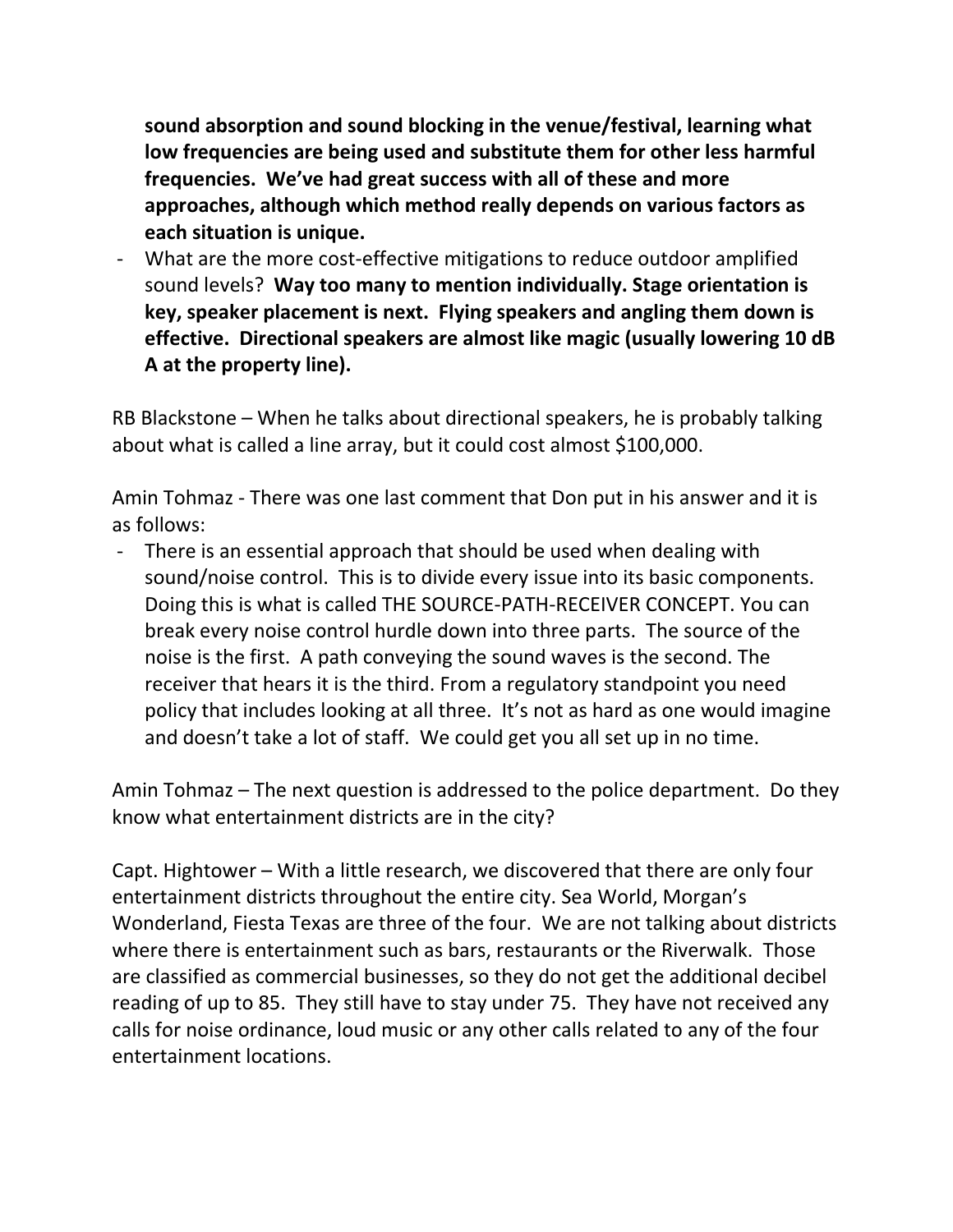**sound absorption and sound blocking in the venue/festival, learning what low frequencies are being used and substitute them for other less harmful frequencies. We've had great success with all of these and more approaches, although which method really depends on various factors as each situation is unique.**

- What are the more cost-effective mitigations to reduce outdoor amplified sound levels? **Way too many to mention individually. Stage orientation is key, speaker placement is next. Flying speakers and angling them down is effective. Directional speakers are almost like magic (usually lowering 10 dB A at the property line).**

RB Blackstone – When he talks about directional speakers, he is probably talking about what is called a line array, but it could cost almost \$100,000.

Amin Tohmaz - There was one last comment that Don put in his answer and it is as follows:

- There is an essential approach that should be used when dealing with sound/noise control. This is to divide every issue into its basic components. Doing this is what is called THE SOURCE-PATH-RECEIVER CONCEPT. You can break every noise control hurdle down into three parts. The source of the noise is the first. A path conveying the sound waves is the second. The receiver that hears it is the third. From a regulatory standpoint you need policy that includes looking at all three. It's not as hard as one would imagine and doesn't take a lot of staff. We could get you all set up in no time.

Amin Tohmaz – The next question is addressed to the police department. Do they know what entertainment districts are in the city?

Capt. Hightower – With a little research, we discovered that there are only four entertainment districts throughout the entire city. Sea World, Morgan's Wonderland, Fiesta Texas are three of the four. We are not talking about districts where there is entertainment such as bars, restaurants or the Riverwalk. Those are classified as commercial businesses, so they do not get the additional decibel reading of up to 85. They still have to stay under 75. They have not received any calls for noise ordinance, loud music or any other calls related to any of the four entertainment locations.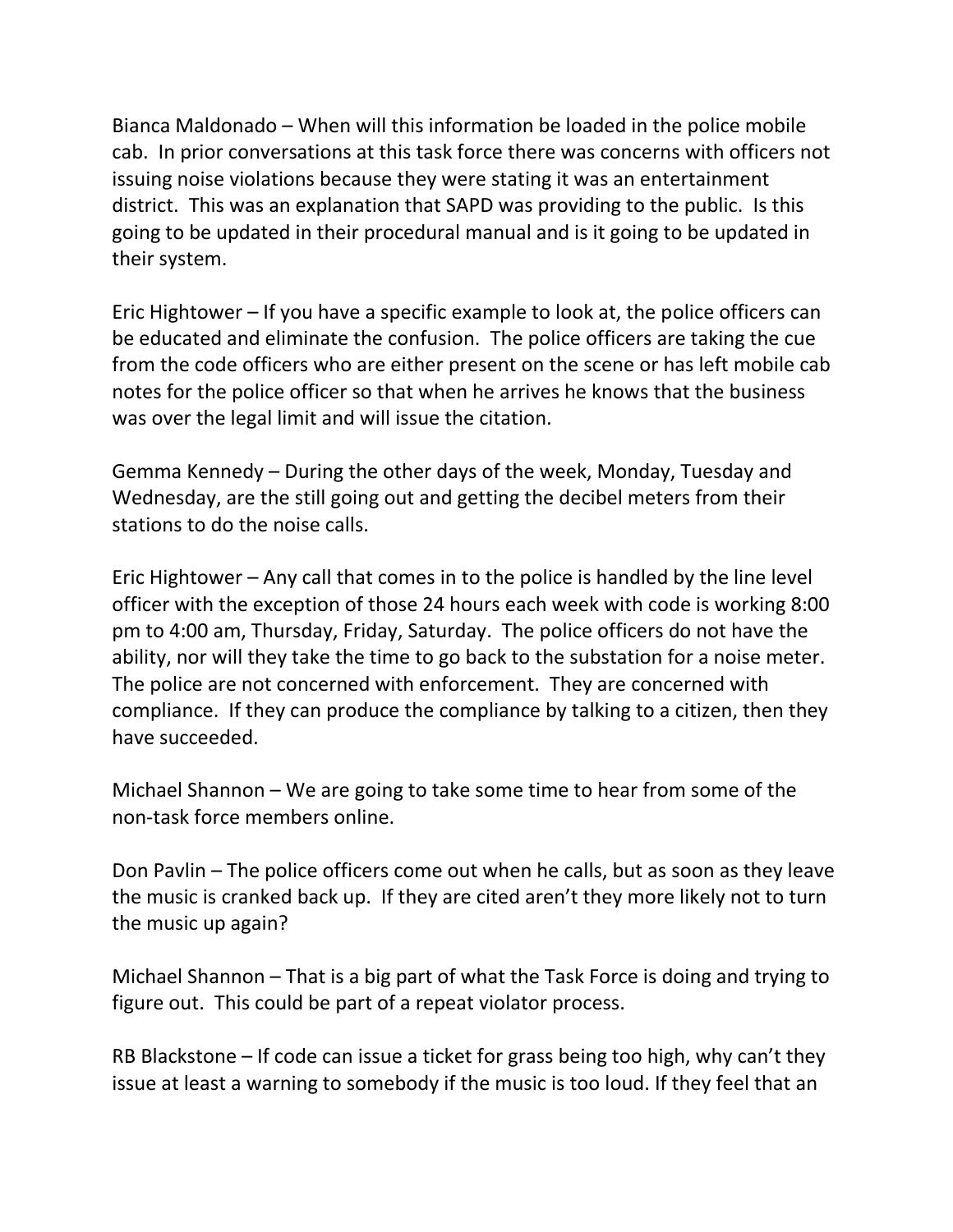Bianca Maldonado – When will this information be loaded in the police mobile cab. In prior conversations at this task force there was concerns with officers not issuing noise violations because they were stating it was an entertainment district. This was an explanation that SAPD was providing to the public. Is this going to be updated in their procedural manual and is it going to be updated in their system.

Eric Hightower – If you have a specific example to look at, the police officers can be educated and eliminate the confusion. The police officers are taking the cue from the code officers who are either present on the scene or has left mobile cab notes for the police officer so that when he arrives he knows that the business was over the legal limit and will issue the citation.

Gemma Kennedy – During the other days of the week, Monday, Tuesday and Wednesday, are the still going out and getting the decibel meters from their stations to do the noise calls.

Eric Hightower – Any call that comes in to the police is handled by the line level officer with the exception of those 24 hours each week with code is working 8:00 pm to 4:00 am, Thursday, Friday, Saturday. The police officers do not have the ability, nor will they take the time to go back to the substation for a noise meter. The police are not concerned with enforcement. They are concerned with compliance. If they can produce the compliance by talking to a citizen, then they have succeeded.

Michael Shannon – We are going to take some time to hear from some of the non-task force members online.

Don Pavlin – The police officers come out when he calls, but as soon as they leave the music is cranked back up. If they are cited aren't they more likely not to turn the music up again?

Michael Shannon – That is a big part of what the Task Force is doing and trying to figure out. This could be part of a repeat violator process.

RB Blackstone – If code can issue a ticket for grass being too high, why can't they issue at least a warning to somebody if the music is too loud. If they feel that an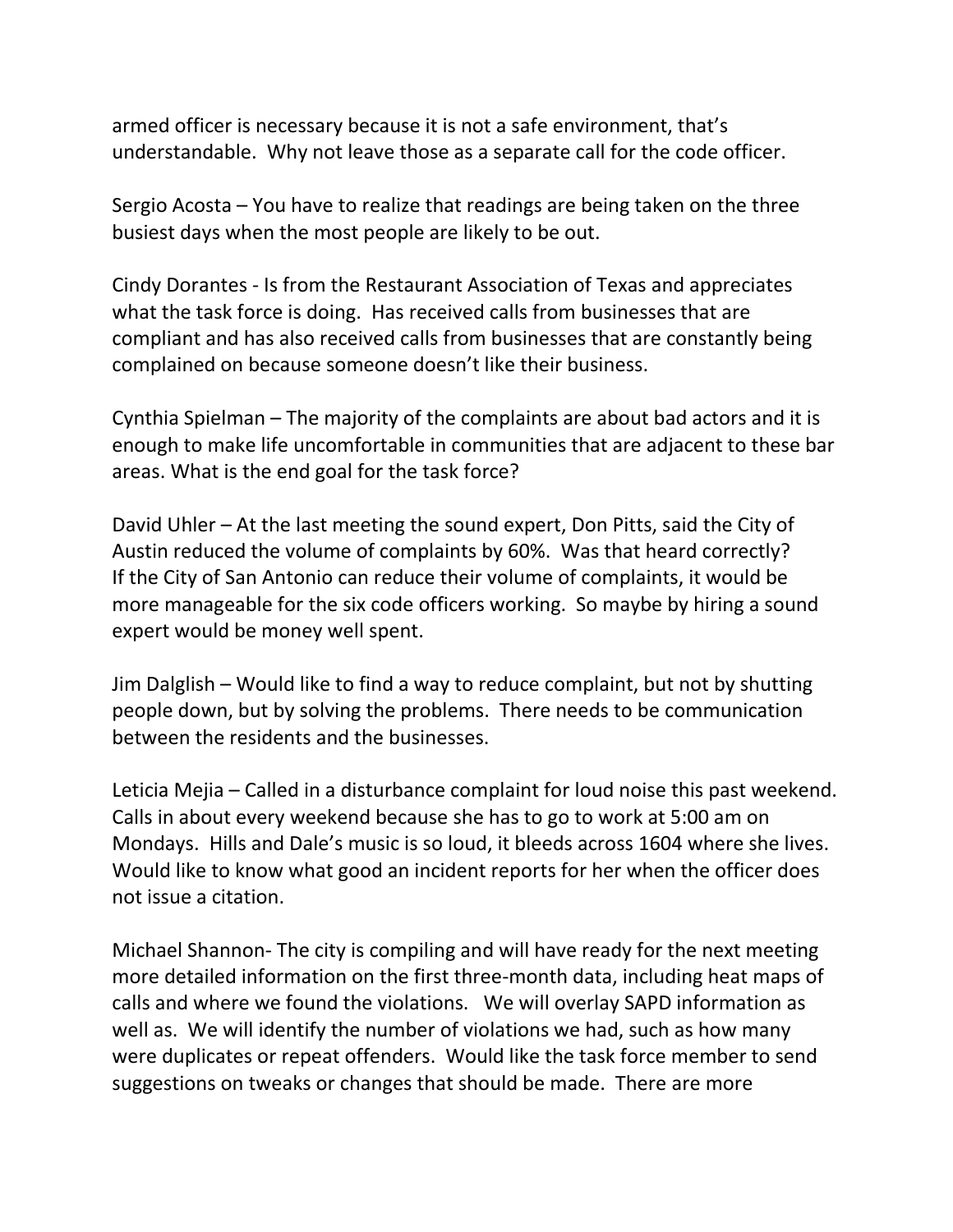armed officer is necessary because it is not a safe environment, that's understandable. Why not leave those as a separate call for the code officer.

Sergio Acosta – You have to realize that readings are being taken on the three busiest days when the most people are likely to be out.

Cindy Dorantes - Is from the Restaurant Association of Texas and appreciates what the task force is doing. Has received calls from businesses that are compliant and has also received calls from businesses that are constantly being complained on because someone doesn't like their business.

Cynthia Spielman – The majority of the complaints are about bad actors and it is enough to make life uncomfortable in communities that are adjacent to these bar areas. What is the end goal for the task force?

David Uhler – At the last meeting the sound expert, Don Pitts, said the City of Austin reduced the volume of complaints by 60%. Was that heard correctly? If the City of San Antonio can reduce their volume of complaints, it would be more manageable for the six code officers working. So maybe by hiring a sound expert would be money well spent.

Jim Dalglish – Would like to find a way to reduce complaint, but not by shutting people down, but by solving the problems. There needs to be communication between the residents and the businesses.

Leticia Mejia – Called in a disturbance complaint for loud noise this past weekend. Calls in about every weekend because she has to go to work at 5:00 am on Mondays. Hills and Dale's music is so loud, it bleeds across 1604 where she lives. Would like to know what good an incident reports for her when the officer does not issue a citation.

Michael Shannon- The city is compiling and will have ready for the next meeting more detailed information on the first three-month data, including heat maps of calls and where we found the violations. We will overlay SAPD information as well as. We will identify the number of violations we had, such as how many were duplicates or repeat offenders. Would like the task force member to send suggestions on tweaks or changes that should be made. There are more